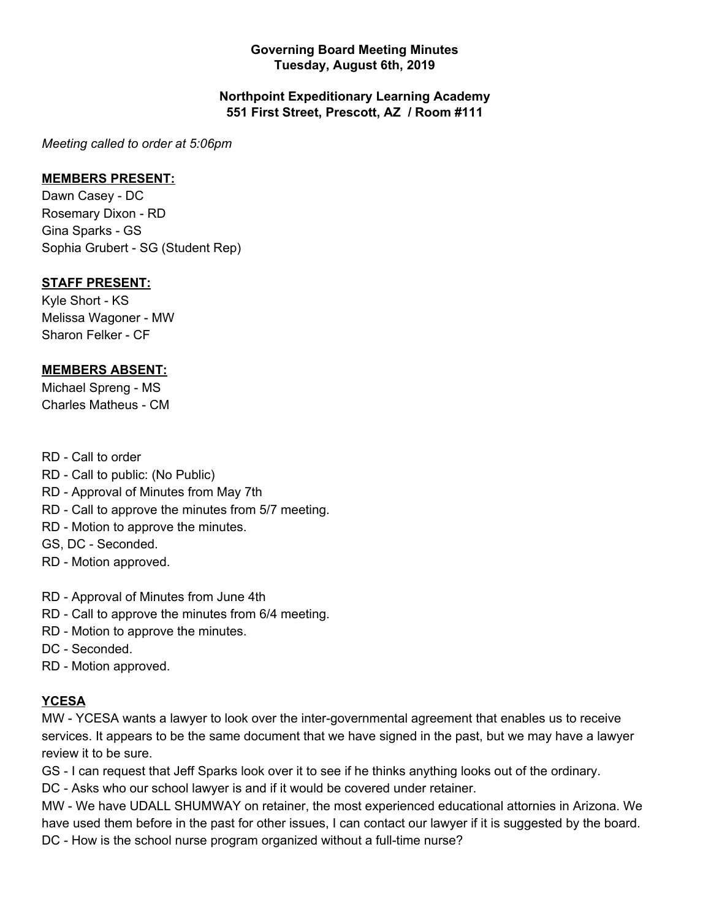#### **Governing Board Meeting Minutes Tuesday, August 6th, 2019**

#### **Northpoint Expeditionary Learning Academy 551 First Street, Prescott, AZ / Room #111**

*Meeting called to order at 5:06pm*

#### **MEMBERS PRESENT:**

Dawn Casey - DC Rosemary Dixon - RD Gina Sparks - GS Sophia Grubert - SG (Student Rep)

#### **STAFF PRESENT:**

Kyle Short - KS Melissa Wagoner - MW Sharon Felker - CF

#### **MEMBERS ABSENT:**

Michael Spreng - MS Charles Matheus - CM

#### RD - Call to order

- RD Call to public: (No Public)
- RD Approval of Minutes from May 7th
- RD Call to approve the minutes from 5/7 meeting.
- RD Motion to approve the minutes.
- GS, DC Seconded.
- RD Motion approved.
- RD Approval of Minutes from June 4th
- RD Call to approve the minutes from 6/4 meeting.
- RD Motion to approve the minutes.
- DC Seconded.
- RD Motion approved.

### **YCESA**

MW - YCESA wants a lawyer to look over the inter-governmental agreement that enables us to receive services. It appears to be the same document that we have signed in the past, but we may have a lawyer review it to be sure.

GS - I can request that Jeff Sparks look over it to see if he thinks anything looks out of the ordinary.

DC - Asks who our school lawyer is and if it would be covered under retainer.

MW - We have UDALL SHUMWAY on retainer, the most experienced educational attornies in Arizona. We have used them before in the past for other issues, I can contact our lawyer if it is suggested by the board. DC - How is the school nurse program organized without a full-time nurse?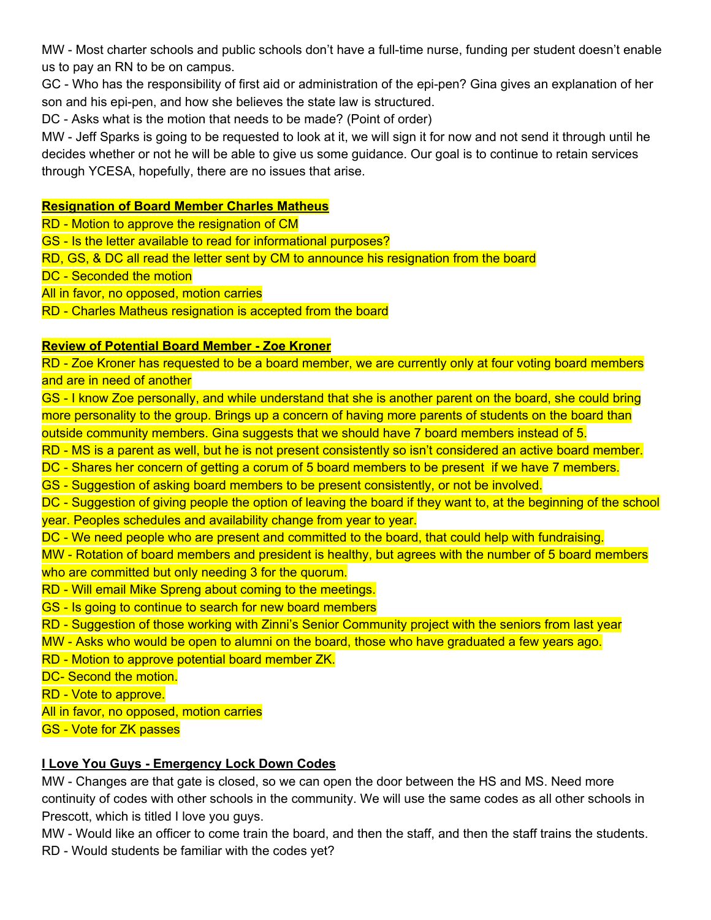MW - Most charter schools and public schools don't have a full-time nurse, funding per student doesn't enable us to pay an RN to be on campus.

GC - Who has the responsibility of first aid or administration of the epi-pen? Gina gives an explanation of her son and his epi-pen, and how she believes the state law is structured.

DC - Asks what is the motion that needs to be made? (Point of order)

MW - Jeff Sparks is going to be requested to look at it, we will sign it for now and not send it through until he decides whether or not he will be able to give us some guidance. Our goal is to continue to retain services through YCESA, hopefully, there are no issues that arise.

#### **Resignation of Board Member Charles Matheus**

RD - Motion to approve the resignation of CM

GS - Is the letter available to read for informational purposes?

RD, GS, & DC all read the letter sent by CM to announce his resignation from the board

DC - Seconded the motion

All in favor, no opposed, motion carries

RD - Charles Matheus resignation is accepted from the board

#### **Review of Potential Board Member - Zoe Kroner**

RD - Zoe Kroner has requested to be a board member, we are currently only at four voting board members and are in need of another

GS - I know Zoe personally, and while understand that she is another parent on the board, she could bring more personality to the group. Brings up a concern of having more parents of students on the board than outside community members. Gina suggests that we should have 7 board members instead of 5.

RD - MS is a parent as well, but he is not present consistently so isn't considered an active board member.

DC - Shares her concern of getting a corum of 5 board members to be present if we have 7 members.

GS - Suggestion of asking board members to be present consistently, or not be involved.

DC - Suggestion of giving people the option of leaving the board if they want to, at the beginning of the school year. Peoples schedules and availability change from year to year.

DC - We need people who are present and committed to the board, that could help with fundraising.

MW - Rotation of board members and president is healthy, but agrees with the number of 5 board members who are committed but only needing 3 for the quorum.

- RD Will email Mike Spreng about coming to the meetings.
- GS Is going to continue to search for new board members

RD - Suggestion of those working with Zinni's Senior Community project with the seniors from last year

MW - Asks who would be open to alumni on the board, those who have graduated a few years ago.

RD - Motion to approve potential board member ZK.

DC- Second the motion.

RD - Vote to approve.

All in favor, no opposed, motion carries

GS - Vote for ZK passes

### **I Love You Guys - Emergency Lock Down Codes**

MW - Changes are that gate is closed, so we can open the door between the HS and MS. Need more continuity of codes with other schools in the community. We will use the same codes as all other schools in Prescott, which is titled I love you guys.

MW - Would like an officer to come train the board, and then the staff, and then the staff trains the students. RD - Would students be familiar with the codes yet?